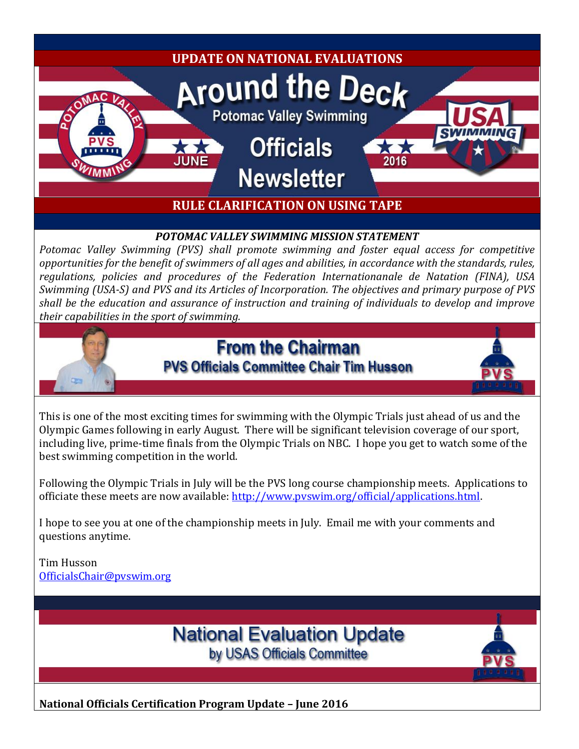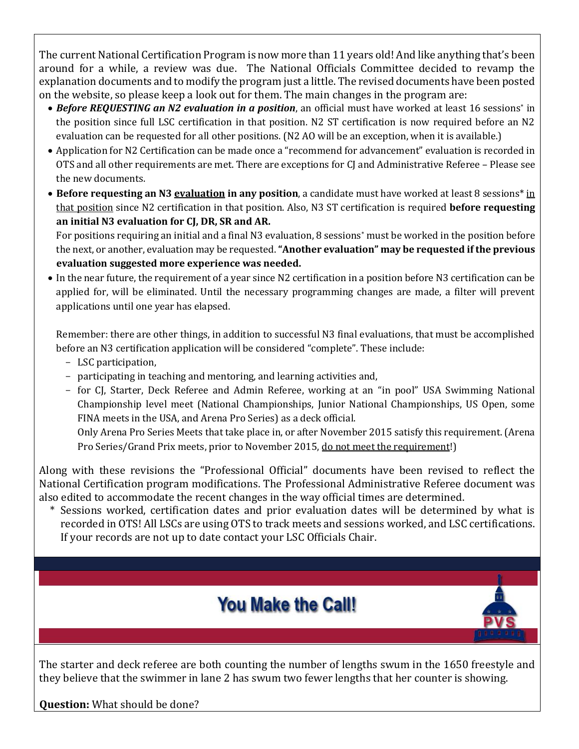The current National Certification Program is now more than 11 years old! And like anything that's been around for a while, a review was due. The National Officials Committee decided to revamp the explanation documents and to modify the program just a little. The revised documents have been posted on the website, so please keep a look out for them. The main changes in the program are:

- *Before REQUESTING an N2 evaluation in a position*, an official must have worked at least 16 sessions\* in the position since full LSC certification in that position. N2 ST certification is now required before an N2 evaluation can be requested for all other positions. (N2 AO will be an exception, when it is available.)
- Application for N2 Certification can be made once a "recommend for advancement" evaluation is recorded in OTS and all other requirements are met. There are exceptions for CJ and Administrative Referee – Please see the new documents.
- **Before requesting an N3 evaluation in any position**, a candidate must have worked at least 8 sessions\* in that position since N2 certification in that position. Also, N3 ST certification is required **before requesting an initial N3 evaluation for CJ, DR, SR and AR.**

For positions requiring an initial and a final N3 evaluation, 8 sessions\* must be worked in the position before the next, or another, evaluation may be requested. **"Another evaluation" may be requested if the previous evaluation suggested more experience was needed.**

 In the near future, the requirement of a year since N2 certification in a position before N3 certification can be applied for, will be eliminated. Until the necessary programming changes are made, a filter will prevent applications until one year has elapsed.

Remember: there are other things, in addition to successful N3 final evaluations, that must be accomplished before an N3 certification application will be considered "complete". These include:

- LSC participation,
- participating in teaching and mentoring, and learning activities and,
- for CJ, Starter, Deck Referee and Admin Referee, working at an "in pool" USA Swimming National Championship level meet (National Championships, Junior National Championships, US Open, some FINA meets in the USA, and Arena Pro Series) as a deck official.

Only Arena Pro Series Meets that take place in, or after November 2015 satisfy this requirement. (Arena Pro Series/Grand Prix meets, prior to November 2015, do not meet the requirement!)

Along with these revisions the "Professional Official" documents have been revised to reflect the National Certification program modifications. The Professional Administrative Referee document was also edited to accommodate the recent changes in the way official times are determined.

\* Sessions worked, certification dates and prior evaluation dates will be determined by what is recorded in OTS! All LSCs are using OTS to track meets and sessions worked, and LSC certifications. If your records are not up to date contact your LSC Officials Chair.



The starter and deck referee are both counting the number of lengths swum in the 1650 freestyle and they believe that the swimmer in lane 2 has swum two fewer lengths that her counter is showing.

#### **Question:** What should be done?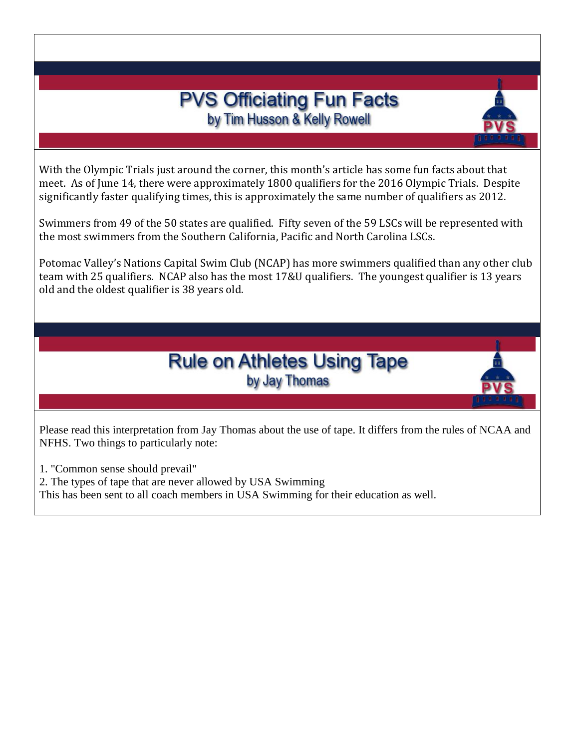### **PVS Officiating Fun Facts** by Tim Husson & Kelly Rowell

With the Olympic Trials just around the corner, this month's article has some fun facts about that meet. As of June 14, there were approximately 1800 qualifiers for the 2016 Olympic Trials. Despite significantly faster qualifying times, this is approximately the same number of qualifiers as 2012.

Swimmers from 49 of the 50 states are qualified. Fifty seven of the 59 LSCs will be represented with the most swimmers from the Southern California, Pacific and North Carolina LSCs.

Potomac Valley's Nations Capital Swim Club (NCAP) has more swimmers qualified than any other club team with 25 qualifiers. NCAP also has the most 17&U qualifiers. The youngest qualifier is 13 years old and the oldest qualifier is 38 years old.



Please read this interpretation from Jay Thomas about the use of tape. It differs from the rules of NCAA and NFHS. Two things to particularly note:

1. "Common sense should prevail"

2. The types of tape that are never allowed by USA Swimming

This has been sent to all coach members in USA Swimming for their education as well.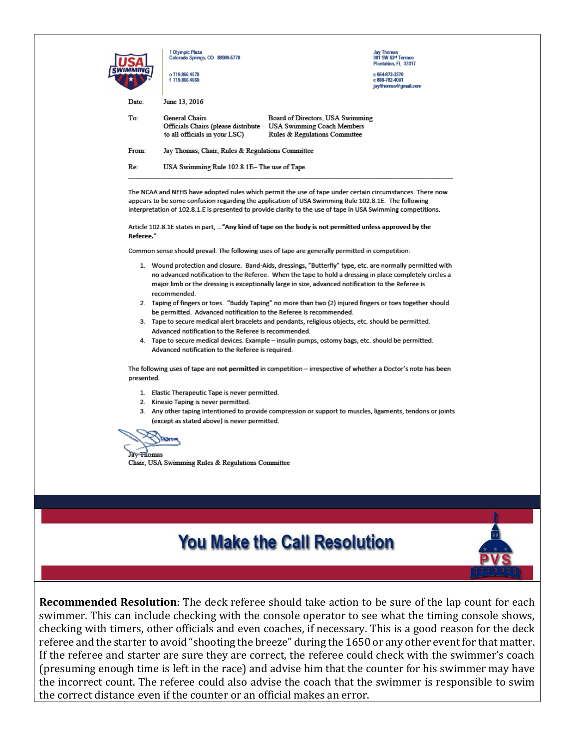|            | o 719,866,4578<br>f 719,866,4669                                                                                                                                                                                                                                                                                                           |                                                                                                        | Plantation, FL 33317<br>c 954-873-3370<br>c 888-782-4091<br>iavfthomas@gmail.com |  |
|------------|--------------------------------------------------------------------------------------------------------------------------------------------------------------------------------------------------------------------------------------------------------------------------------------------------------------------------------------------|--------------------------------------------------------------------------------------------------------|----------------------------------------------------------------------------------|--|
| Date:      | June 13, 2016                                                                                                                                                                                                                                                                                                                              |                                                                                                        |                                                                                  |  |
| To:        | General Chairs<br>Officials Chairs (please distribute<br>to all officials in your LSC)                                                                                                                                                                                                                                                     | Board of Directors, USA Swimming<br><b>USA Swimming Coach Members</b><br>Rules & Regulations Committee |                                                                                  |  |
| From:      | Jay Thomas, Chair, Rules & Regulations Committee                                                                                                                                                                                                                                                                                           |                                                                                                        |                                                                                  |  |
| Re:        | USA Swimming Rule 102.8.1E– The use of Tape.                                                                                                                                                                                                                                                                                               |                                                                                                        |                                                                                  |  |
| Referee."  | appears to be some confusion regarding the application of USA Swimming Rule 102.8.1E. The following<br>interpretation of 102.8.1.E is presented to provide clarity to the use of tape in USA Swimming competitions.<br>Article 102.8.1E states in part,  "Any kind of tape on the body is not permitted unless approved by the             |                                                                                                        |                                                                                  |  |
|            | Common sense should prevail. The following uses of tape are generally permitted in competition:                                                                                                                                                                                                                                            |                                                                                                        |                                                                                  |  |
|            | 1. Wound protection and closure. Band-Aids, dressings, "Butterfly" type, etc. are normally permitted with<br>no advanced notification to the Referee. When the tape to hold a dressing in place completely circles a<br>major limb or the dressing is exceptionally large in size, advanced notification to the Referee is<br>recommended. |                                                                                                        |                                                                                  |  |
|            | 2. Taping of fingers or toes. "Buddy Taping" no more than two (2) injured fingers or toes together should<br>be permitted. Advanced notification to the Referee is recommended.                                                                                                                                                            |                                                                                                        |                                                                                  |  |
|            |                                                                                                                                                                                                                                                                                                                                            | 3. Tape to secure medical alert bracelets and pendants, religious objects, etc. should be permitted.   |                                                                                  |  |
|            | Advanced notification to the Referee is recommended.<br>4. Tape to secure medical devices. Example - insulin pumps, ostomy bags, etc. should be permitted.<br>Advanced notification to the Referee is required.                                                                                                                            |                                                                                                        |                                                                                  |  |
| presented. | The following uses of tape are not permitted in competition – irrespective of whether a Doctor's note has been                                                                                                                                                                                                                             |                                                                                                        |                                                                                  |  |
|            | 1. Elastic Therapeutic Tape is never permitted.                                                                                                                                                                                                                                                                                            |                                                                                                        |                                                                                  |  |
|            | 2. Kinesio Taping is never permitted.                                                                                                                                                                                                                                                                                                      |                                                                                                        |                                                                                  |  |
|            | 3. Any other taping intentioned to provide compression or support to muscles, ligaments, tendons or joints<br>(except as stated above) is never permitted.                                                                                                                                                                                 |                                                                                                        |                                                                                  |  |
|            | <b>DOATH</b>                                                                                                                                                                                                                                                                                                                               |                                                                                                        |                                                                                  |  |
|            |                                                                                                                                                                                                                                                                                                                                            |                                                                                                        |                                                                                  |  |
| av Tiomas  |                                                                                                                                                                                                                                                                                                                                            |                                                                                                        |                                                                                  |  |

### **You Make the Call Resolution**

**Recommended Resolution**: The deck referee should take action to be sure of the lap count for each swimmer. This can include checking with the console operator to see what the timing console shows, checking with timers, other officials and even coaches, if necessary. This is a good reason for the deck referee and the starter to avoid "shooting the breeze" during the 1650 or any other event for that matter. If the referee and starter are sure they are correct, the referee could check with the swimmer's coach (presuming enough time is left in the race) and advise him that the counter for his swimmer may have the incorrect count. The referee could also advise the coach that the swimmer is responsible to swim the correct distance even if the counter or an official makes an error.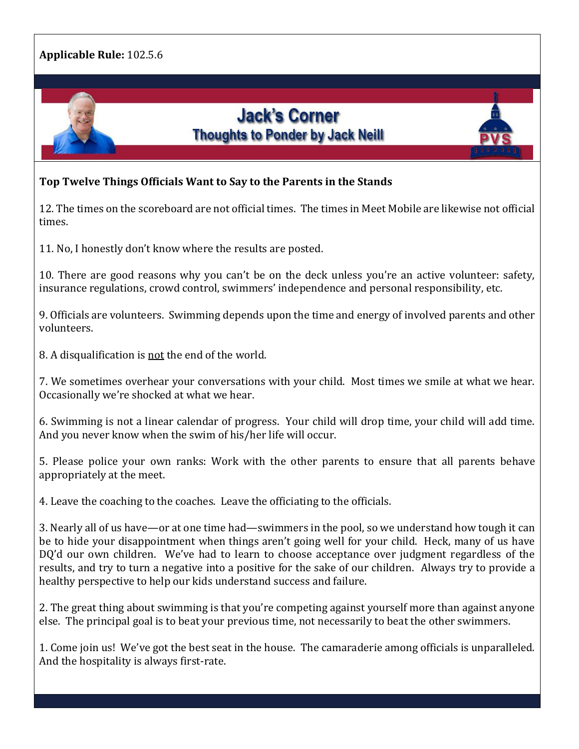

#### **Top Twelve Things Officials Want to Say to the Parents in the Stands**

12. The times on the scoreboard are not official times. The times in Meet Mobile are likewise not official times.

11. No, I honestly don't know where the results are posted.

10. There are good reasons why you can't be on the deck unless you're an active volunteer: safety, insurance regulations, crowd control, swimmers' independence and personal responsibility, etc.

9. Officials are volunteers. Swimming depends upon the time and energy of involved parents and other volunteers.

8. A disqualification is not the end of the world.

7. We sometimes overhear your conversations with your child. Most times we smile at what we hear. Occasionally we're shocked at what we hear.

6. Swimming is not a linear calendar of progress. Your child will drop time, your child will add time. And you never know when the swim of his/her life will occur.

5. Please police your own ranks: Work with the other parents to ensure that all parents behave appropriately at the meet.

4. Leave the coaching to the coaches. Leave the officiating to the officials.

3. Nearly all of us have—or at one time had—swimmers in the pool, so we understand how tough it can be to hide your disappointment when things aren't going well for your child. Heck, many of us have DQ'd our own children. We've had to learn to choose acceptance over judgment regardless of the results, and try to turn a negative into a positive for the sake of our children. Always try to provide a healthy perspective to help our kids understand success and failure.

2. The great thing about swimming is that you're competing against yourself more than against anyone else. The principal goal is to beat your previous time, not necessarily to beat the other swimmers.

1. Come join us! We've got the best seat in the house. The camaraderie among officials is unparalleled. And the hospitality is always first-rate.